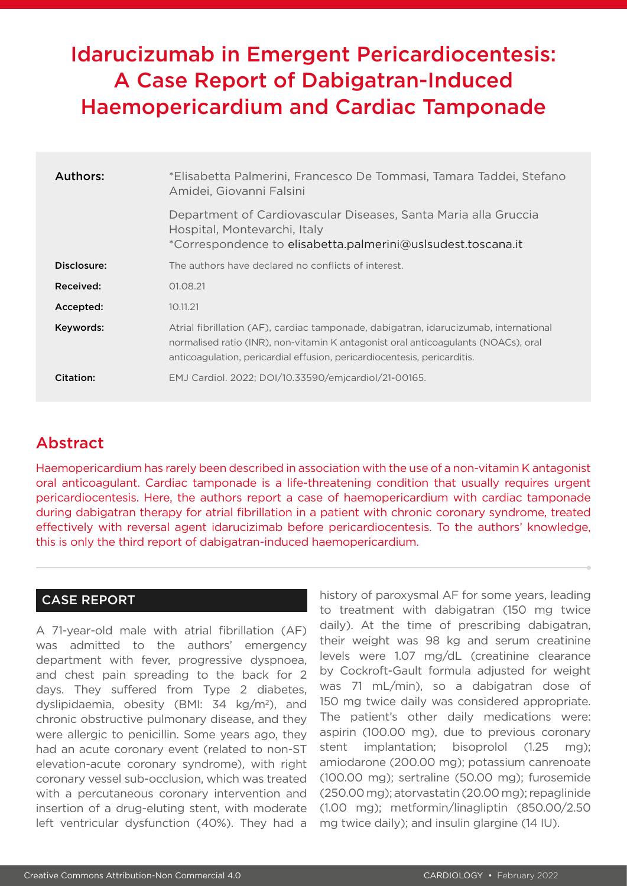# Idarucizumab in Emergent Pericardiocentesis: A Case Report of Dabigatran-Induced Haemopericardium and Cardiac Tamponade

| Authors:    | *Elisabetta Palmerini, Francesco De Tommasi, Tamara Taddei, Stefano<br>Amidei, Giovanni Falsini                                                                                                                                                        |
|-------------|--------------------------------------------------------------------------------------------------------------------------------------------------------------------------------------------------------------------------------------------------------|
|             | Department of Cardiovascular Diseases, Santa Maria alla Gruccia<br>Hospital, Montevarchi, Italy<br>*Correspondence to elisabetta.palmerini@uslsudest.toscana.it                                                                                        |
| Disclosure: | The authors have declared no conflicts of interest.                                                                                                                                                                                                    |
| Received:   | 01.08.21                                                                                                                                                                                                                                               |
| Accepted:   | 10.11.21                                                                                                                                                                                                                                               |
| Keywords:   | Atrial fibrillation (AF), cardiac tamponade, dabigatran, idarucizumab, international<br>normalised ratio (INR), non-vitamin K antagonist oral anticoagulants (NOACs), oral<br>anticoagulation, pericardial effusion, pericardiocentesis, pericarditis. |
| Citation:   | EMJ Cardiol. 2022; DOI/10.33590/emjcardiol/21-00165.                                                                                                                                                                                                   |

## Abstract

Haemopericardium has rarely been described in association with the use of a non-vitamin K antagonist oral anticoagulant. Cardiac tamponade is a life-threatening condition that usually requires urgent pericardiocentesis. Here, the authors report a case of haemopericardium with cardiac tamponade during dabigatran therapy for atrial fibrillation in a patient with chronic coronary syndrome, treated effectively with reversal agent idarucizimab before pericardiocentesis. To the authors' knowledge, this is only the third report of dabigatran-induced haemopericardium.

#### CASE REPORT

A 71-year-old male with atrial fibrillation (AF) was admitted to the authors' emergency department with fever, progressive dyspnoea, and chest pain spreading to the back for 2 days. They suffered from Type 2 diabetes, dyslipidaemia, obesity (BMI: 34 kg/m<sup>2</sup>), and chronic obstructive pulmonary disease, and they were allergic to penicillin. Some years ago, they had an acute coronary event (related to non-ST elevation-acute coronary syndrome), with right coronary vessel sub-occlusion, which was treated with a percutaneous coronary intervention and insertion of a drug-eluting stent, with moderate left ventricular dysfunction (40%). They had a

history of paroxysmal AF for some years, leading to treatment with dabigatran (150 mg twice daily). At the time of prescribing dabigatran, their weight was 98 kg and serum creatinine levels were 1.07 mg/dL (creatinine clearance by Cockroft-Gault formula adjusted for weight was 71 mL/min), so a dabigatran dose of 150 mg twice daily was considered appropriate. The patient's other daily medications were: aspirin (100.00 mg), due to previous coronary stent implantation; bisoprolol (1.25 mg); amiodarone (200.00 mg); potassium canrenoate (100.00 mg); sertraline (50.00 mg); furosemide (250.00 mg); atorvastatin (20.00 mg); repaglinide (1.00 mg); metformin/linagliptin (850.00/2.50 mg twice daily); and insulin glargine (14 IU).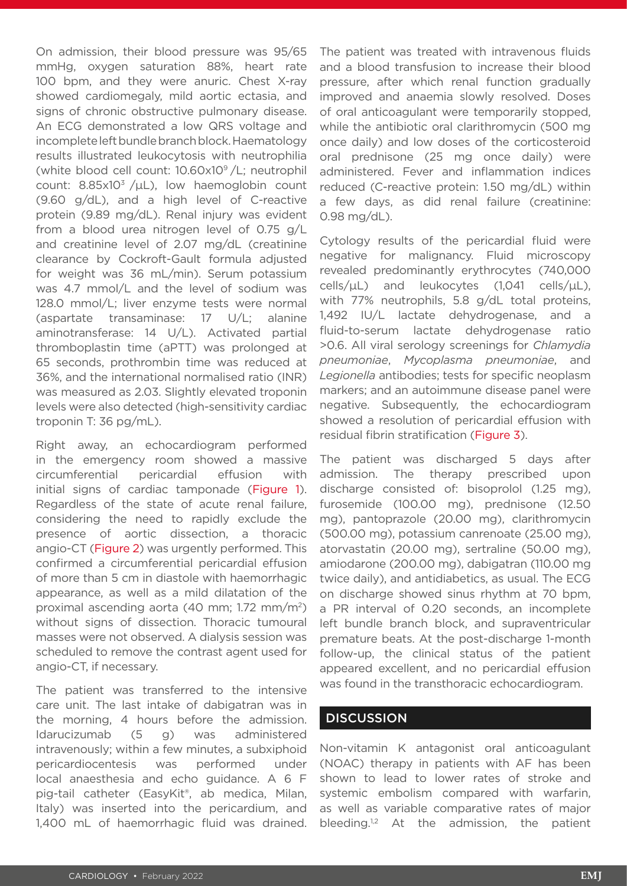On admission, their blood pressure was 95/65 mmHg, oxygen saturation 88%, heart rate 100 bpm, and they were anuric. Chest X-ray showed cardiomegaly, mild aortic ectasia, and signs of chronic obstructive pulmonary disease. An ECG demonstrated a low QRS voltage and incomplete left bundle branch block. Haematology results illustrated leukocytosis with neutrophilia (white blood cell count: 10.60x109 /L; neutrophil count:  $8.85 \times 10^{3}$  /µL), low haemoglobin count (9.60 g/dL), and a high level of C-reactive protein (9.89 mg/dL). Renal injury was evident from a blood urea nitrogen level of 0.75 g/L and creatinine level of 2.07 mg/dL (creatinine clearance by Cockroft-Gault formula adjusted for weight was 36 mL/min). Serum potassium was 4.7 mmol/L and the level of sodium was 128.0 mmol/L; liver enzyme tests were normal (aspartate transaminase: 17 U/L; alanine aminotransferase: 14 U/L). Activated partial thromboplastin time (aPTT) was prolonged at 65 seconds, prothrombin time was reduced at 36%, and the international normalised ratio (INR) was measured as 2.03. Slightly elevated troponin levels were also detected (high-sensitivity cardiac troponin T: 36 pg/mL).

Right away, an echocardiogram performed in the emergency room showed a massive circumferential pericardial effusion with initial signs of cardiac tamponade (Figure 1). Regardless of the state of acute renal failure, considering the need to rapidly exclude the presence of aortic dissection, a thoracic angio-CT (Figure 2) was urgently performed. This confirmed a circumferential pericardial effusion of more than 5 cm in diastole with haemorrhagic appearance, as well as a mild dilatation of the proximal ascending aorta (40 mm; 1.72 mm/m2) without signs of dissection. Thoracic tumoural masses were not observed. A dialysis session was scheduled to remove the contrast agent used for angio-CT, if necessary.

The patient was transferred to the intensive care unit. The last intake of dabigatran was in the morning, 4 hours before the admission. Idarucizumab (5 g) was administered intravenously; within a few minutes, a subxiphoid pericardiocentesis was performed under local anaesthesia and echo guidance. A 6 F pig-tail catheter (EasyKit®, ab medica, Milan, Italy) was inserted into the pericardium, and 1,400 mL of haemorrhagic fluid was drained.

The patient was treated with intravenous fluids and a blood transfusion to increase their blood pressure, after which renal function gradually improved and anaemia slowly resolved. Doses of oral anticoagulant were temporarily stopped, while the antibiotic oral clarithromycin (500 mg once daily) and low doses of the corticosteroid oral prednisone (25 mg once daily) were administered. Fever and inflammation indices reduced (C-reactive protein: 1.50 mg/dL) within a few days, as did renal failure (creatinine: 0.98 mg/dL).

Cytology results of the pericardial fluid were negative for malignancy. Fluid microscopy revealed predominantly erythrocytes (740,000 cells/ $\mu$ L) and leukocytes (1,041 cells/ $\mu$ L), with 77% neutrophils, 5.8 g/dL total proteins, 1,492 IU/L lactate dehydrogenase, and a fluid-to-serum lactate dehydrogenase ratio >0.6. All viral serology screenings for *Chlamydia pneumoniae*, *Mycoplasma pneumoniae*, and *Legionella* antibodies; tests for specific neoplasm markers; and an autoimmune disease panel were negative. Subsequently, the echocardiogram showed a resolution of pericardial effusion with residual fibrin stratification (Figure 3).

The patient was discharged 5 days after admission. The therapy prescribed upon discharge consisted of: bisoprolol (1.25 mg), furosemide (100.00 mg), prednisone (12.50 mg), pantoprazole (20.00 mg), clarithromycin (500.00 mg), potassium canrenoate (25.00 mg), atorvastatin (20.00 mg), sertraline (50.00 mg), amiodarone (200.00 mg), dabigatran (110.00 mg twice daily), and antidiabetics, as usual. The ECG on discharge showed sinus rhythm at 70 bpm, a PR interval of 0.20 seconds, an incomplete left bundle branch block, and supraventricular premature beats. At the post-discharge 1-month follow-up, the clinical status of the patient appeared excellent, and no pericardial effusion was found in the transthoracic echocardiogram.

### **DISCUSSION**

Non-vitamin K antagonist oral anticoagulant (NOAC) therapy in patients with AF has been shown to lead to lower rates of stroke and systemic embolism compared with warfarin, as well as variable comparative rates of major bleeding.<sup>1,2</sup> At the admission, the patient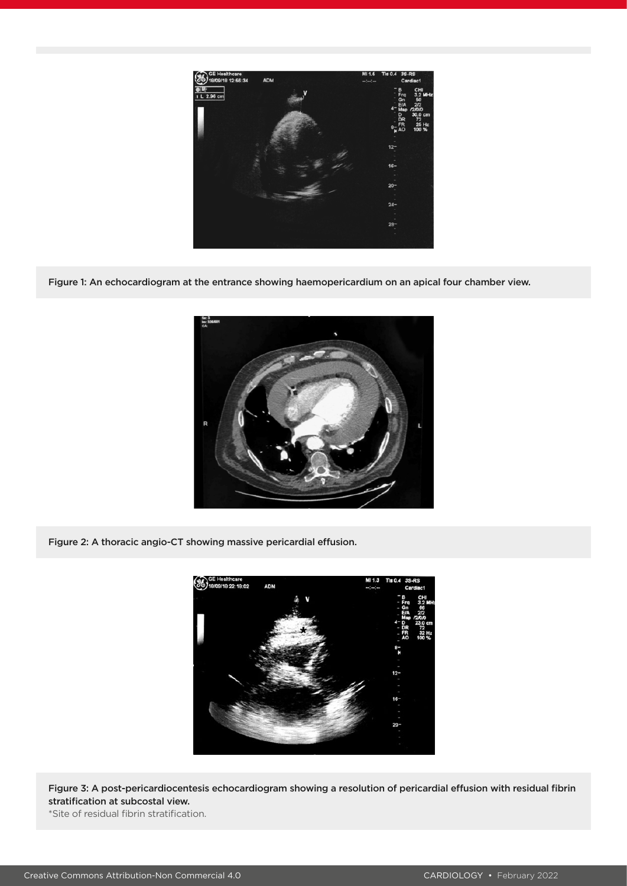

Figure 1: An echocardiogram at the entrance showing haemopericardium on an apical four chamber view.



Figure 2: A thoracic angio-CT showing massive pericardial effusion.



Figure 3: A post-pericardiocentesis echocardiogram showing a resolution of pericardial effusion with residual fibrin stratification at subcostal view.

\*Site of residual fibrin stratification.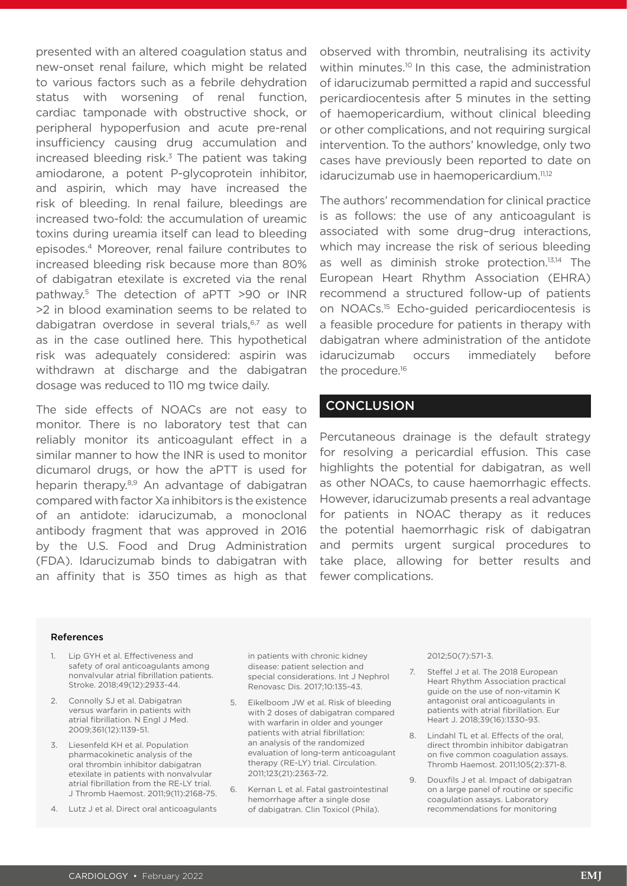presented with an altered coagulation status and new-onset renal failure, which might be related to various factors such as a febrile dehydration status with worsening of renal function, cardiac tamponade with obstructive shock, or peripheral hypoperfusion and acute pre-renal insufficiency causing drug accumulation and increased bleeding risk. $3$  The patient was taking amiodarone, a potent P-glycoprotein inhibitor, and aspirin, which may have increased the risk of bleeding. In renal failure, bleedings are increased two-fold: the accumulation of ureamic toxins during ureamia itself can lead to bleeding episodes.4 Moreover, renal failure contributes to increased bleeding risk because more than 80% of dabigatran etexilate is excreted via the renal pathway.5 The detection of aPTT >90 or INR >2 in blood examination seems to be related to dabigatran overdose in several trials,<sup>6,7</sup> as well as in the case outlined here. This hypothetical risk was adequately considered: aspirin was withdrawn at discharge and the dabigatran dosage was reduced to 110 mg twice daily.

The side effects of NOACs are not easy to monitor. There is no laboratory test that can reliably monitor its anticoagulant effect in a similar manner to how the INR is used to monitor dicumarol drugs, or how the aPTT is used for heparin therapy.<sup>8,9</sup> An advantage of dabigatran compared with factor Xa inhibitors is the existence of an antidote: idarucizumab, a monoclonal antibody fragment that was approved in 2016 by the U.S. Food and Drug Administration (FDA). Idarucizumab binds to dabigatran with an affinity that is 350 times as high as that

observed with thrombin, neutralising its activity within minutes.<sup>10</sup> In this case, the administration of idarucizumab permitted a rapid and successful pericardiocentesis after 5 minutes in the setting of haemopericardium, without clinical bleeding or other complications, and not requiring surgical intervention. To the authors' knowledge, only two cases have previously been reported to date on idarucizumab use in haemopericardium.<sup>11,12</sup>

The authors' recommendation for clinical practice is as follows: the use of any anticoagulant is associated with some drug–drug interactions, which may increase the risk of serious bleeding as well as diminish stroke protection.13,14 The European Heart Rhythm Association (EHRA) recommend a structured follow-up of patients on NOACs.15 Echo-guided pericardiocentesis is a feasible procedure for patients in therapy with dabigatran where administration of the antidote idarucizumab occurs immediately before the procedure.16

#### **CONCLUSION**

Percutaneous drainage is the default strategy for resolving a pericardial effusion. This case highlights the potential for dabigatran, as well as other NOACs, to cause haemorrhagic effects. However, idarucizumab presents a real advantage for patients in NOAC therapy as it reduces the potential haemorrhagic risk of dabigatran and permits urgent surgical procedures to take place, allowing for better results and fewer complications.

#### References

- 1. Lip GYH et al. Effectiveness and safety of oral anticoagulants among nonvalvular atrial fibrillation patients. Stroke. 2018;49(12):2933-44.
- 2. Connolly SJ et al. Dabigatran versus warfarin in patients with atrial fibrillation. N Engl J Med. 2009;361(12):1139-51.
- 3. Liesenfeld KH et al. Population pharmacokinetic analysis of the oral thrombin inhibitor dabigatran etexilate in patients with nonvalvular atrial fibrillation from the RE-LY trial. J Thromb Haemost. 2011;9(11):2168-75.
- 4. Lutz J et al. Direct oral anticoagulants

in patients with chronic kidney disease: patient selection and special considerations. Int J Nephrol Renovasc Dis. 2017;10:135-43.

- 5. Eikelboom JW et al. Risk of bleeding with 2 doses of dabigatran compared with warfarin in older and younger patients with atrial fibrillation: an analysis of the randomized evaluation of long-term anticoagulant therapy (RE-LY) trial. Circulation. 2011;123(21):2363-72.
- 6. Kernan L et al. Fatal gastrointestinal hemorrhage after a single dose of dabigatran. Clin Toxicol (Phila).

2012;50(7):571-3.

- 7. Steffel J et al. The 2018 European Heart Rhythm Association practical guide on the use of non-vitamin K antagonist oral anticoagulants in patients with atrial fibrillation. Eur Heart J. 2018;39(16):1330-93.
- 8. Lindahl TL et al. Effects of the oral, direct thrombin inhibitor dabigatran on five common coagulation assays. Thromb Haemost. 2011;105(2):371-8.
- 9. Douxfils J et al. Impact of dabigatran on a large panel of routine or specific coagulation assays. Laboratory recommendations for monitoring